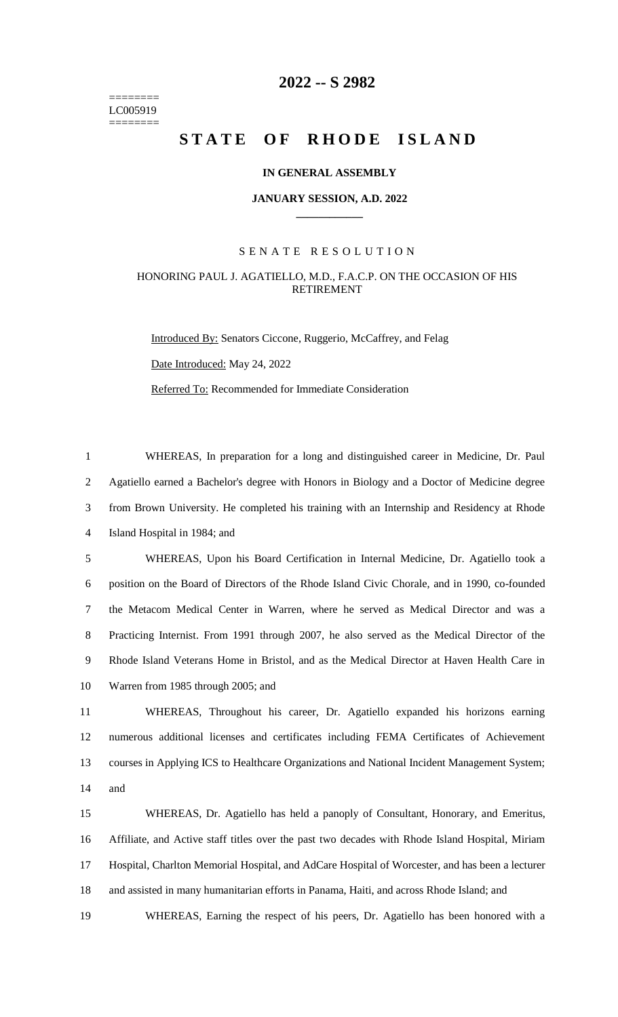======== LC005919 ========

## **-- S 2982**

# **STATE OF RHODE ISLAND**

### **IN GENERAL ASSEMBLY**

#### **JANUARY SESSION, A.D. 2022 \_\_\_\_\_\_\_\_\_\_\_\_**

### S E N A T E R E S O L U T I O N

### HONORING PAUL J. AGATIELLO, M.D., F.A.C.P. ON THE OCCASION OF HIS RETIREMENT

Introduced By: Senators Ciccone, Ruggerio, McCaffrey, and Felag Date Introduced: May 24, 2022 Referred To: Recommended for Immediate Consideration

 WHEREAS, In preparation for a long and distinguished career in Medicine, Dr. Paul Agatiello earned a Bachelor's degree with Honors in Biology and a Doctor of Medicine degree from Brown University. He completed his training with an Internship and Residency at Rhode Island Hospital in 1984; and

 WHEREAS, Upon his Board Certification in Internal Medicine, Dr. Agatiello took a position on the Board of Directors of the Rhode Island Civic Chorale, and in 1990, co-founded the Metacom Medical Center in Warren, where he served as Medical Director and was a Practicing Internist. From 1991 through 2007, he also served as the Medical Director of the Rhode Island Veterans Home in Bristol, and as the Medical Director at Haven Health Care in Warren from 1985 through 2005; and

 WHEREAS, Throughout his career, Dr. Agatiello expanded his horizons earning numerous additional licenses and certificates including FEMA Certificates of Achievement courses in Applying ICS to Healthcare Organizations and National Incident Management System; and

 WHEREAS, Dr. Agatiello has held a panoply of Consultant, Honorary, and Emeritus, Affiliate, and Active staff titles over the past two decades with Rhode Island Hospital, Miriam Hospital, Charlton Memorial Hospital, and AdCare Hospital of Worcester, and has been a lecturer and assisted in many humanitarian efforts in Panama, Haiti, and across Rhode Island; and

WHEREAS, Earning the respect of his peers, Dr. Agatiello has been honored with a